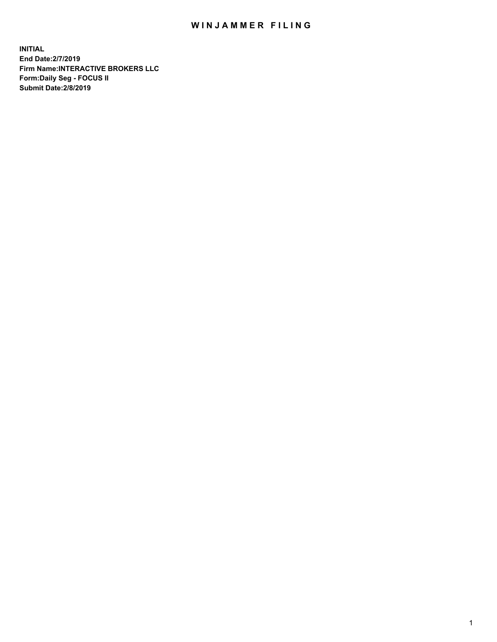## WIN JAMMER FILING

**INITIAL End Date:2/7/2019 Firm Name:INTERACTIVE BROKERS LLC Form:Daily Seg - FOCUS II Submit Date:2/8/2019**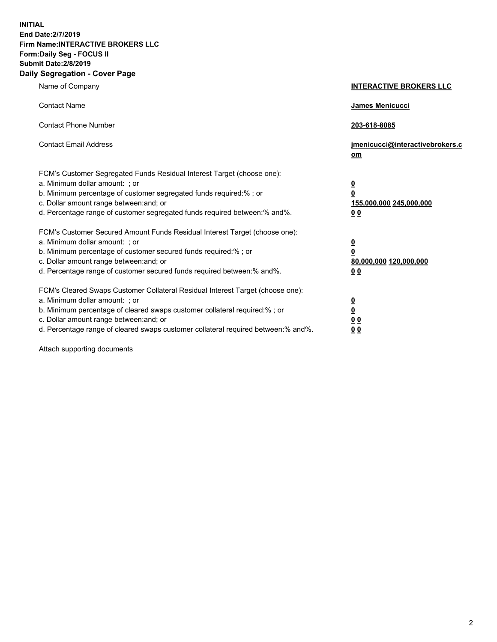**INITIAL End Date:2/7/2019 Firm Name:INTERACTIVE BROKERS LLC Form:Daily Seg - FOCUS II Submit Date:2/8/2019 Daily Segregation - Cover Page**

| Name of Company                                                                                                                                                                                                                                                                                                                | <b>INTERACTIVE BROKERS LLC</b>                                                      |
|--------------------------------------------------------------------------------------------------------------------------------------------------------------------------------------------------------------------------------------------------------------------------------------------------------------------------------|-------------------------------------------------------------------------------------|
| <b>Contact Name</b>                                                                                                                                                                                                                                                                                                            | James Menicucci                                                                     |
| <b>Contact Phone Number</b>                                                                                                                                                                                                                                                                                                    | 203-618-8085                                                                        |
| <b>Contact Email Address</b>                                                                                                                                                                                                                                                                                                   | jmenicucci@interactivebrokers.c<br>om                                               |
| FCM's Customer Segregated Funds Residual Interest Target (choose one):<br>a. Minimum dollar amount: ; or<br>b. Minimum percentage of customer segregated funds required:% ; or<br>c. Dollar amount range between: and; or<br>d. Percentage range of customer segregated funds required between:% and%.                         | $\overline{\mathbf{0}}$<br>$\overline{\mathbf{0}}$<br>155,000,000 245,000,000<br>00 |
| FCM's Customer Secured Amount Funds Residual Interest Target (choose one):<br>a. Minimum dollar amount: ; or<br>b. Minimum percentage of customer secured funds required:% ; or<br>c. Dollar amount range between: and; or<br>d. Percentage range of customer secured funds required between:% and%.                           | $\overline{\mathbf{0}}$<br>$\pmb{0}$<br>80,000,000 120,000,000<br>00                |
| FCM's Cleared Swaps Customer Collateral Residual Interest Target (choose one):<br>a. Minimum dollar amount: ; or<br>b. Minimum percentage of cleared swaps customer collateral required:% ; or<br>c. Dollar amount range between: and; or<br>d. Percentage range of cleared swaps customer collateral required between:% and%. | $\overline{\mathbf{0}}$<br>$\underline{\mathbf{0}}$<br>0 <sub>0</sub><br>00         |

Attach supporting documents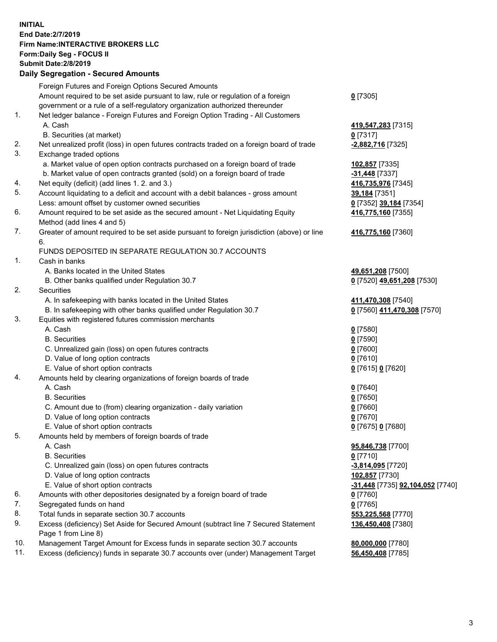## **INITIAL End Date:2/7/2019 Firm Name:INTERACTIVE BROKERS LLC Form:Daily Seg - FOCUS II Submit Date:2/8/2019 Daily Segregation - Secured Amounts**

|     | 2011, Ocgi ogation - Oceaned Anioanita                                                      |                                                      |
|-----|---------------------------------------------------------------------------------------------|------------------------------------------------------|
|     | Foreign Futures and Foreign Options Secured Amounts                                         |                                                      |
|     | Amount required to be set aside pursuant to law, rule or regulation of a foreign            | $0$ [7305]                                           |
|     | government or a rule of a self-regulatory organization authorized thereunder                |                                                      |
| 1.  | Net ledger balance - Foreign Futures and Foreign Option Trading - All Customers             |                                                      |
|     | A. Cash                                                                                     | 419,547,283 [7315]                                   |
|     | B. Securities (at market)                                                                   | $0$ [7317]                                           |
| 2.  | Net unrealized profit (loss) in open futures contracts traded on a foreign board of trade   | -2,882,716 [7325]                                    |
| 3.  | Exchange traded options                                                                     |                                                      |
|     | a. Market value of open option contracts purchased on a foreign board of trade              | 102,857 [7335]                                       |
|     | b. Market value of open contracts granted (sold) on a foreign board of trade                | -31,448 [7337]                                       |
| 4.  | Net equity (deficit) (add lines 1. 2. and 3.)                                               | 416,735,976 [7345]                                   |
| 5.  | Account liquidating to a deficit and account with a debit balances - gross amount           | 39,184 [7351]                                        |
|     | Less: amount offset by customer owned securities                                            | 0 [7352] 39,184 [7354]                               |
| 6.  | Amount required to be set aside as the secured amount - Net Liquidating Equity              | 416,775,160 [7355]                                   |
|     | Method (add lines 4 and 5)                                                                  |                                                      |
| 7.  | Greater of amount required to be set aside pursuant to foreign jurisdiction (above) or line | 416,775,160 [7360]                                   |
|     | 6.                                                                                          |                                                      |
| 1.  | FUNDS DEPOSITED IN SEPARATE REGULATION 30.7 ACCOUNTS<br>Cash in banks                       |                                                      |
|     |                                                                                             |                                                      |
|     | A. Banks located in the United States                                                       | 49,651,208 [7500]                                    |
| 2.  | B. Other banks qualified under Regulation 30.7                                              | 0 [7520] 49,651,208 [7530]                           |
|     | Securities<br>A. In safekeeping with banks located in the United States                     |                                                      |
|     |                                                                                             | 411,470,308 [7540]                                   |
| 3.  | B. In safekeeping with other banks qualified under Regulation 30.7                          | 0 [7560] 411,470,308 [7570]                          |
|     | Equities with registered futures commission merchants                                       |                                                      |
|     | A. Cash<br><b>B.</b> Securities                                                             | $0$ [7580]                                           |
|     |                                                                                             | $0$ [7590]                                           |
|     | C. Unrealized gain (loss) on open futures contracts<br>D. Value of long option contracts    | $0$ [7600]                                           |
|     | E. Value of short option contracts                                                          | $0$ [7610]                                           |
| 4.  | Amounts held by clearing organizations of foreign boards of trade                           | 0 [7615] 0 [7620]                                    |
|     | A. Cash                                                                                     |                                                      |
|     | <b>B.</b> Securities                                                                        | $0$ [7640]                                           |
|     | C. Amount due to (from) clearing organization - daily variation                             | $0$ [7650]<br>$0$ [7660]                             |
|     | D. Value of long option contracts                                                           | $0$ [7670]                                           |
|     | E. Value of short option contracts                                                          | 0 [7675] 0 [7680]                                    |
| 5.  | Amounts held by members of foreign boards of trade                                          |                                                      |
|     | A. Cash                                                                                     | 95,846,738 [7700]                                    |
|     | <b>B.</b> Securities                                                                        | $0$ [7710]                                           |
|     | C. Unrealized gain (loss) on open futures contracts                                         | -3,814,095 [7720]                                    |
|     | D. Value of long option contracts                                                           | 102,857 [7730]                                       |
|     | E. Value of short option contracts                                                          | <mark>-31,448</mark> [7735] <b>92,104,052</b> [7740] |
| 6.  | Amounts with other depositories designated by a foreign board of trade                      | 0 [7760]                                             |
| 7.  | Segregated funds on hand                                                                    | $0$ [7765]                                           |
| 8.  | Total funds in separate section 30.7 accounts                                               | 553,225,568 [7770]                                   |
| 9.  | Excess (deficiency) Set Aside for Secured Amount (subtract line 7 Secured Statement         | 136,450,408 [7380]                                   |
|     | Page 1 from Line 8)                                                                         |                                                      |
| 10. | Management Target Amount for Excess funds in separate section 30.7 accounts                 | 80,000,000 [7780]                                    |
| 11. | Excess (deficiency) funds in separate 30.7 accounts over (under) Management Target          | 56,450,408 [7785]                                    |
|     |                                                                                             |                                                      |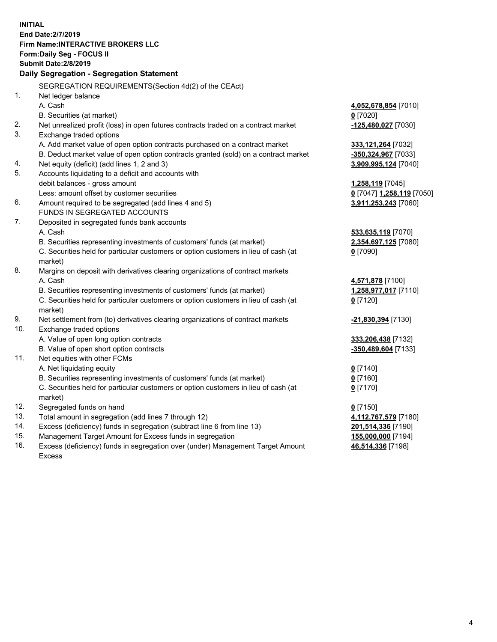**INITIAL End Date:2/7/2019 Firm Name:INTERACTIVE BROKERS LLC Form:Daily Seg - FOCUS II Submit Date:2/8/2019 Daily Segregation - Segregation Statement** SEGREGATION REQUIREMENTS(Section 4d(2) of the CEAct) 1. Net ledger balance A. Cash **4,052,678,854** [7010] B. Securities (at market) **0** [7020] 2. Net unrealized profit (loss) in open futures contracts traded on a contract market **-125,480,027** [7030] 3. Exchange traded options A. Add market value of open option contracts purchased on a contract market **333,121,264** [7032] B. Deduct market value of open option contracts granted (sold) on a contract market **-350,324,967** [7033] 4. Net equity (deficit) (add lines 1, 2 and 3) **3,909,995,124** [7040] 5. Accounts liquidating to a deficit and accounts with debit balances - gross amount **1,258,119** [7045] Less: amount offset by customer securities **0** [7047] **1,258,119** [7050] 6. Amount required to be segregated (add lines 4 and 5) **3,911,253,243** [7060] FUNDS IN SEGREGATED ACCOUNTS 7. Deposited in segregated funds bank accounts A. Cash **533,635,119** [7070] B. Securities representing investments of customers' funds (at market) **2,354,697,125** [7080] C. Securities held for particular customers or option customers in lieu of cash (at market) **0** [7090] 8. Margins on deposit with derivatives clearing organizations of contract markets A. Cash **4,571,878** [7100] B. Securities representing investments of customers' funds (at market) **1,258,977,017** [7110] C. Securities held for particular customers or option customers in lieu of cash (at market) **0** [7120] 9. Net settlement from (to) derivatives clearing organizations of contract markets **-21,830,394** [7130] 10. Exchange traded options A. Value of open long option contracts **333,206,438** [7132] B. Value of open short option contracts **-350,489,604** [7133] 11. Net equities with other FCMs A. Net liquidating equity **0** [7140] B. Securities representing investments of customers' funds (at market) **0** [7160] C. Securities held for particular customers or option customers in lieu of cash (at market) **0** [7170] 12. Segregated funds on hand **0** [7150] 13. Total amount in segregation (add lines 7 through 12) **4,112,767,579** [7180] 14. Excess (deficiency) funds in segregation (subtract line 6 from line 13) **201,514,336** [7190] 15. Management Target Amount for Excess funds in segregation **155,000,000** [7194] **46,514,336** [7198]

16. Excess (deficiency) funds in segregation over (under) Management Target Amount Excess